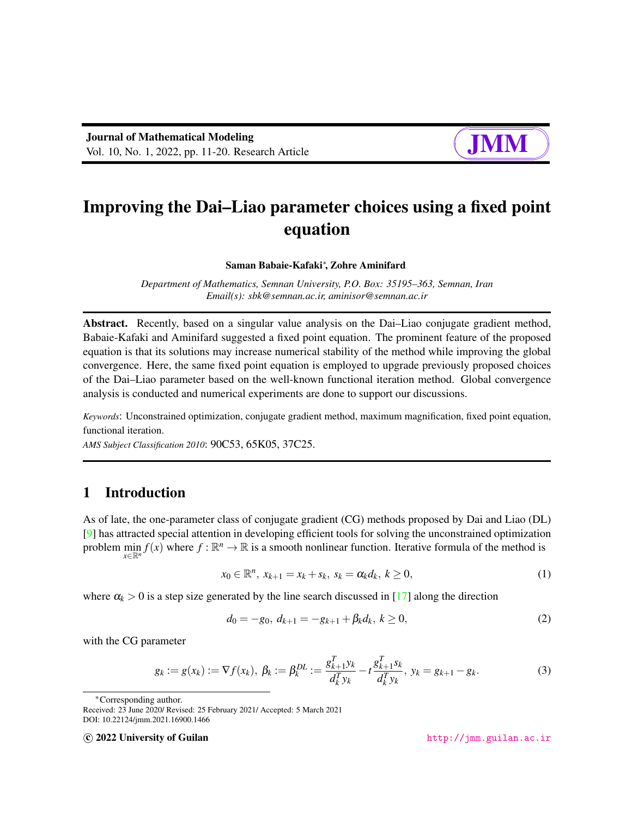# Improving the Dai–Liao parameter choices using a fixed point equation

#### Saman Babaie-Kafaki<sup>∗</sup> , Zohre Aminifard

*Department of Mathematics, Semnan University, P.O. Box: 35195–363, Semnan, Iran Email(s): sbk@semnan.ac.ir, aminisor@semnan.ac.ir*

Abstract. Recently, based on a singular value analysis on the Dai–Liao conjugate gradient method, Babaie-Kafaki and Aminifard suggested a fixed point equation. The prominent feature of the proposed equation is that its solutions may increase numerical stability of the method while improving the global convergence. Here, the same fixed point equation is employed to upgrade previously proposed choices of the Dai–Liao parameter based on the well-known functional iteration method. Global convergence analysis is conducted and numerical experiments are done to support our discussions.

*Keywords*: Unconstrained optimization, conjugate gradient method, maximum magnification, fixed point equation, functional iteration.

*AMS Subject Classification 2010*: 90C53, 65K05, 37C25.

## 1 Introduction

As of late, the one-parameter class of conjugate gradient (CG) methods proposed by Dai and Liao (DL) [\[9\]](#page-8-0) has attracted special attention in developing efficient tools for solving the unconstrained optimization problem min  $f(x)$  where  $f : \mathbb{R}^n \to \mathbb{R}$  is a smooth nonlinear function. Iterative formula of the method is *x*∈R*<sup>n</sup>*

<span id="page-0-0"></span>
$$
x_0 \in \mathbb{R}^n, \ x_{k+1} = x_k + s_k, \ s_k = \alpha_k d_k, \ k \ge 0,
$$
\n(1)

where  $\alpha_k > 0$  is a step size generated by the line search discussed in [\[17\]](#page-9-0) along the direction

<span id="page-0-1"></span>
$$
d_0 = -g_0, \, d_{k+1} = -g_{k+1} + \beta_k d_k, \, k \ge 0,\tag{2}
$$

with the CG parameter

<span id="page-0-2"></span>
$$
g_k := g(x_k) := \nabla f(x_k), \ \beta_k := \beta_k^{DL} := \frac{g_{k+1}^T y_k}{d_k^T y_k} - t \frac{g_{k+1}^T s_k}{d_k^T y_k}, \ y_k = g_{k+1} - g_k. \tag{3}
$$

<sup>∗</sup>Corresponding author.

c 2022 University of Guilan <http://jmm.guilan.ac.ir>

Received: 23 June 2020/ Revised: 25 February 2021/ Accepted: 5 March 2021 DOI: 10.22124/jmm.2021.16900.1466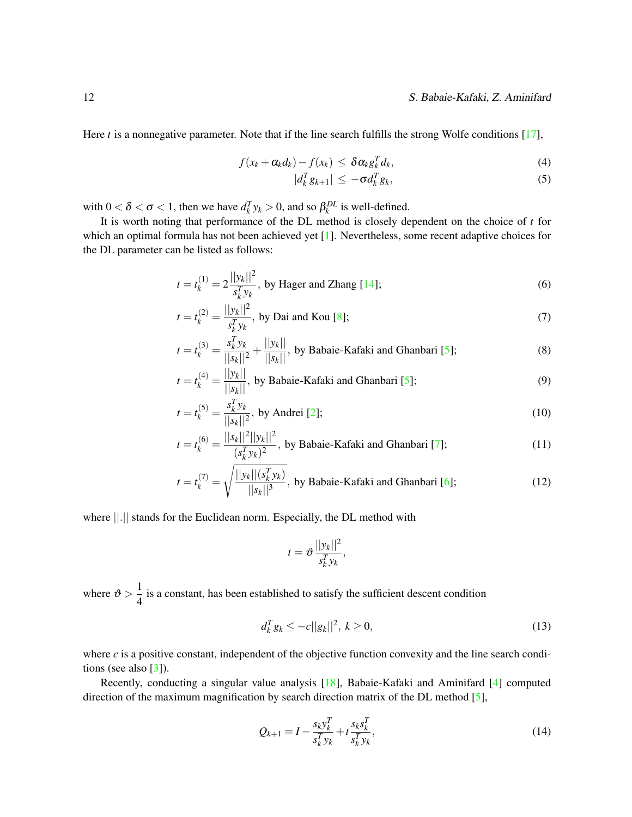#### 12 S. Babaie-Kafaki, Z. Aminifard

Here *t* is a nonnegative parameter. Note that if the line search fulfills the strong Wolfe conditions [\[17\]](#page-9-0),

<span id="page-1-1"></span>
$$
f(x_k + \alpha_k d_k) - f(x_k) \leq \delta \alpha_k g_k^T d_k,
$$
\n(4)

<span id="page-1-3"></span>
$$
|d_k^T g_{k+1}| \le -\sigma d_k^T g_k,\tag{5}
$$

with  $0 < \delta < \sigma < 1$ , then we have  $d_k^T y_k > 0$ , and so  $\beta_k^{DL}$  is well-defined.

It is worth noting that performance of the DL method is closely dependent on the choice of *t* for which an optimal formula has not been achieved yet [\[1\]](#page-8-1). Nevertheless, some recent adaptive choices for the DL parameter can be listed as follows:

$$
t = t_k^{(1)} = 2 \frac{||y_k||^2}{s_k^T y_k},
$$
 by Hager and Zhang [14]; (6)

$$
t = t_k^{(2)} = \frac{||y_k||^2}{s_k^T y_k}, \text{ by Dai and Kou [8];}
$$
 (7)

$$
t = t_k^{(3)} = \frac{s_k^T y_k}{||s_k||^2} + \frac{||y_k||}{||s_k||},
$$
 by Babaié-Kafaki and Ghanbari [5]; (8)

$$
t = t_k^{(4)} = \frac{||y_k||}{||s_k||},
$$
 by Babaie-Kafaki and Ghanbari [5]; (9)

$$
t = t_k^{(5)} = \frac{s_k^T y_k}{||s_k||^2}, \text{ by Andrei [2];}
$$
 (10)

$$
t = t_k^{(6)} = \frac{||s_k||^2||y_k||^2}{(s_k^T y_k)^2}
$$
, by Babaié-Kafaki and Ghanbari [7]; (11)

$$
t = t_k^{(7)} = \sqrt{\frac{||y_k||(s_k^T y_k)}{||s_k||^3}},
$$
 by Babaie-Kafaki and Ghanbari [6]; (12)

where ||.|| stands for the Euclidean norm. Especially, the DL method with

<span id="page-1-4"></span>
$$
t = \vartheta \frac{||y_k||^2}{s_k^T y_k},
$$

where  $\vartheta > \frac{1}{4}$  $\frac{1}{4}$  is a constant, has been established to satisfy the sufficient descent condition

<span id="page-1-2"></span>
$$
d_k^T g_k \le -c ||g_k||^2, \ k \ge 0,
$$
\n(13)

where  $c$  is a positive constant, independent of the objective function convexity and the line search conditions (see also  $\lceil 3 \rceil$ ).

Recently, conducting a singular value analysis [\[18\]](#page-9-2), Babaie-Kafaki and Aminifard [\[4\]](#page-8-8) computed direction of the maximum magnification by search direction matrix of the DL method [\[5\]](#page-8-3),

<span id="page-1-0"></span>
$$
Q_{k+1} = I - \frac{s_k y_k^T}{s_k^T y_k} + t \frac{s_k s_k^T}{s_k^T y_k},
$$
\n(14)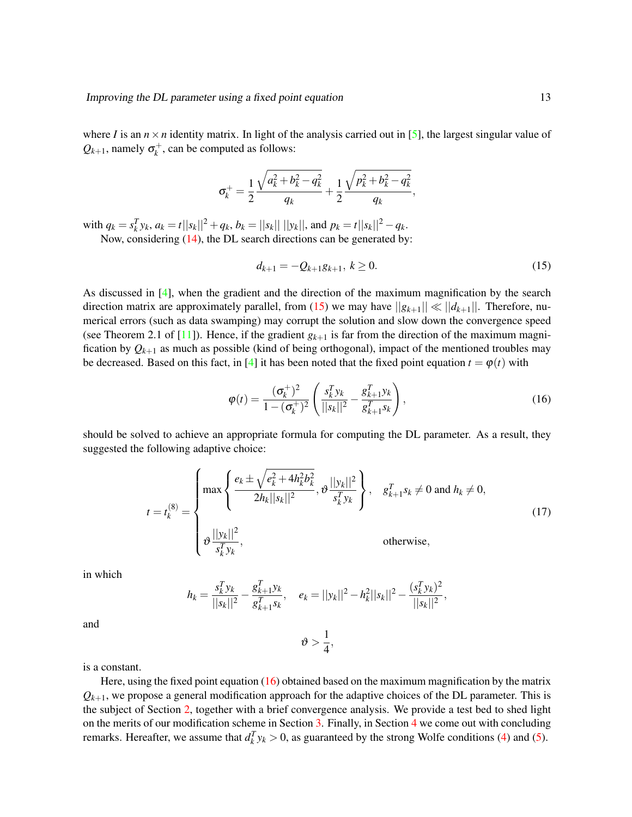where *I* is an  $n \times n$  identity matrix. In light of the analysis carried out in [\[5\]](#page-8-3), the largest singular value of  $Q_{k+1}$ , namely  $\sigma_k^+$ , can be computed as follows:

<span id="page-2-0"></span>
$$
\sigma_k^+=\frac{1}{2}\frac{\sqrt{a_k^2+b_k^2-q_k^2}}{q_k}+\frac{1}{2}\frac{\sqrt{p_k^2+b_k^2-q_k^2}}{q_k},
$$

with  $q_k = s_k^T y_k$ ,  $a_k = t||s_k||^2 + q_k$ ,  $b_k = ||s_k|| ||y_k||$ , and  $p_k = t||s_k||^2 - q_k$ . Now, considering [\(14\)](#page-1-0), the DL search directions can be generated by:

$$
d_{k+1} = -Q_{k+1}g_{k+1}, \ k \ge 0. \tag{15}
$$

As discussed in [\[4\]](#page-8-8), when the gradient and the direction of the maximum magnification by the search direction matrix are approximately parallel, from [\(15\)](#page-2-0) we may have  $||g_{k+1}|| \ll ||d_{k+1}||$ . Therefore, numerical errors (such as data swamping) may corrupt the solution and slow down the convergence speed (see Theorem 2.1 of  $[11]$ ). Hence, if the gradient  $g_{k+1}$  is far from the direction of the maximum magnification by  $Q_{k+1}$  as much as possible (kind of being orthogonal), impact of the mentioned troubles may be decreased. Based on this fact, in [\[4\]](#page-8-8) it has been noted that the fixed point equation  $t = \varphi(t)$  with

<span id="page-2-1"></span>
$$
\varphi(t) = \frac{(\sigma_k^+)^2}{1 - (\sigma_k^+)^2} \left( \frac{s_k^T y_k}{||s_k||^2} - \frac{g_{k+1}^T y_k}{g_{k+1}^T s_k} \right),\tag{16}
$$

should be solved to achieve an appropriate formula for computing the DL parameter. As a result, they suggested the following adaptive choice:

<span id="page-2-2"></span>
$$
t = t_k^{(8)} = \begin{cases} \max \left\{ \frac{e_k \pm \sqrt{e_k^2 + 4h_k^2 b_k^2}}{2h_k ||s_k||^2}, \vartheta \frac{||y_k||^2}{s_k^T y_k} \right\}, & g_{k+1}^T s_k \neq 0 \text{ and } h_k \neq 0, \\ \vartheta \frac{||y_k||^2}{s_k^T y_k}, & \text{otherwise,} \end{cases}
$$
(17)

in which

$$
h_k = \frac{s_k^T y_k}{||s_k||^2} - \frac{g_{k+1}^T y_k}{g_{k+1}^T s_k}, \quad e_k = ||y_k||^2 - h_k^2 ||s_k||^2 - \frac{(s_k^T y_k)^2}{||s_k||^2},
$$

 $v > \frac{1}{4}$  $\frac{1}{4}$ ,

and

is a constant.

Here, using the fixed point equation  $(16)$  obtained based on the maximum magnification by the matrix  $Q_{k+1}$ , we propose a general modification approach for the adaptive choices of the DL parameter. This is the subject of Section [2,](#page-3-0) together with a brief convergence analysis. We provide a test bed to shed light on the merits of our modification scheme in Section [3.](#page-4-0) Finally, in Section [4](#page-4-1) we come out with concluding remarks. Hereafter, we assume that  $d_k^T y_k > 0$ , as guaranteed by the strong Wolfe conditions [\(4\)](#page-1-1) and [\(5\)](#page-1-1).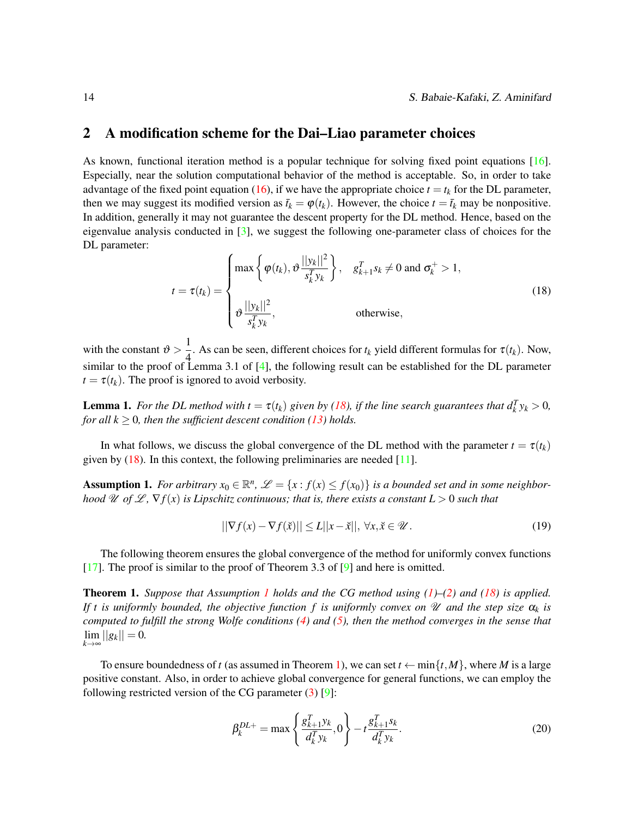#### <span id="page-3-0"></span>2 A modification scheme for the Dai–Liao parameter choices

As known, functional iteration method is a popular technique for solving fixed point equations [\[16\]](#page-9-4). Especially, near the solution computational behavior of the method is acceptable. So, in order to take advantage of the fixed point equation [\(16\)](#page-2-1), if we have the appropriate choice  $t = t_k$  for the DL parameter, then we may suggest its modified version as  $\bar{t}_k = \varphi(t_k)$ . However, the choice  $t = \bar{t}_k$  may be nonpositive. In addition, generally it may not guarantee the descent property for the DL method. Hence, based on the eigenvalue analysis conducted in [\[3\]](#page-8-7), we suggest the following one-parameter class of choices for the DL parameter:

<span id="page-3-1"></span>
$$
t = \tau(t_k) = \begin{cases} \max \left\{ \varphi(t_k), \vartheta \frac{||y_k||^2}{s_k^T y_k} \right\}, & g_{k+1}^T s_k \neq 0 \text{ and } \sigma_k^+ > 1, \\ \vartheta \frac{||y_k||^2}{s_k^T y_k}, & \text{otherwise,} \end{cases}
$$
(18)

with the constant  $\vartheta > \frac{1}{4}$  $\frac{1}{4}$ . As can be seen, different choices for  $t_k$  yield different formulas for  $\tau(t_k)$ . Now, similar to the proof of Lemma 3.1 of [\[4\]](#page-8-8), the following result can be established for the DL parameter  $t = \tau(t_k)$ . The proof is ignored to avoid verbosity.

**Lemma 1.** For the DL method with  $t = \tau(t_k)$  given by [\(18\)](#page-3-1), if the line search guarantees that  $d_k^T y_k > 0$ , *for all*  $k \geq 0$ *, then the sufficient descent condition [\(13\)](#page-1-2) holds.* 

In what follows, we discuss the global convergence of the DL method with the parameter  $t = \tau(t_k)$ given by  $(18)$ . In this context, the following preliminaries are needed [\[11\]](#page-9-3).

<span id="page-3-2"></span>**Assumption 1.** For arbitrary  $x_0 \in \mathbb{R}^n$ ,  $\mathcal{L} = \{x : f(x) \le f(x_0)\}$  is a bounded set and in some neighbor*hood* U of L,  $\nabla f(x)$  *is Lipschitz continuous; that is, there exists a constant L > 0 such that* 

$$
||\nabla f(x) - \nabla f(\tilde{x})|| \le L||x - \tilde{x}||, \,\forall x, \tilde{x} \in \mathcal{U}.
$$
\n<sup>(19)</sup>

The following theorem ensures the global convergence of the method for uniformly convex functions [\[17\]](#page-9-0). The proof is similar to the proof of Theorem 3.3 of [\[9\]](#page-8-0) and here is omitted.

<span id="page-3-3"></span>Theorem 1. *Suppose that Assumption [1](#page-3-2) holds and the CG method using [\(1\)](#page-0-0)–[\(2\)](#page-0-1) and [\(18\)](#page-3-1) is applied. If t is uniformly bounded, the objective function f is uniformly convex on*  $\mathcal U$  *and the step size*  $\alpha_k$  *is computed to fulfill the strong Wolfe conditions [\(4\)](#page-1-1) and [\(5\)](#page-1-1), then the method converges in the sense that*  $\lim_{k \to \infty} ||g_k|| = 0.$ 

To ensure boundedness of *t* (as assumed in Theorem [1\)](#page-3-3), we can set  $t \leftarrow \min\{t, M\}$ , where *M* is a large positive constant. Also, in order to achieve global convergence for general functions, we can employ the following restricted version of the CG parameter  $(3)$  [\[9\]](#page-8-0):

<span id="page-3-4"></span>
$$
\beta_k^{DL+} = \max\left\{\frac{g_{k+1}^T y_k}{d_k^T y_k}, 0\right\} - t \frac{g_{k+1}^T s_k}{d_k^T y_k}.
$$
\n(20)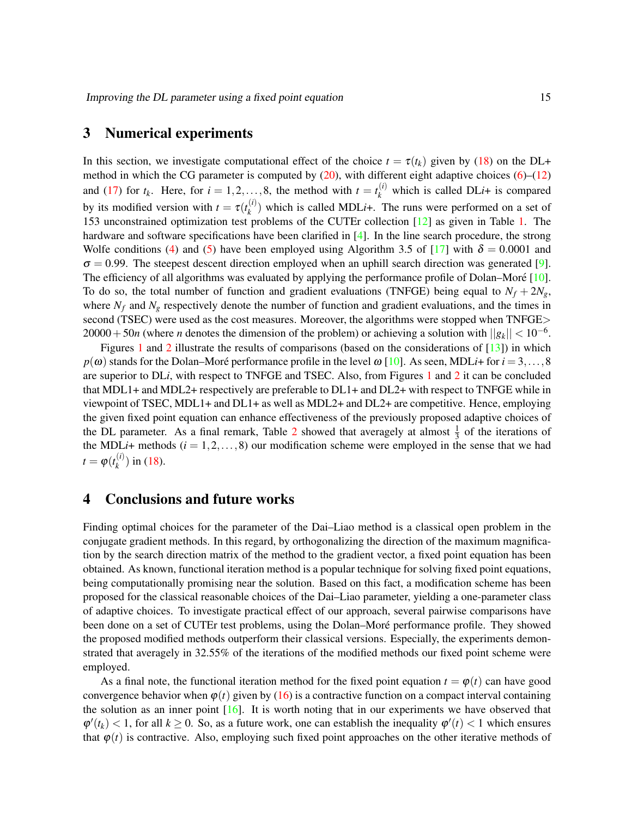### <span id="page-4-0"></span>3 Numerical experiments

In this section, we investigate computational effect of the choice  $t = \tau(t_k)$  given by [\(18\)](#page-3-1) on the DL+ method in which the CG parameter is computed by  $(20)$ , with different eight adaptive choices  $(6)$ – $(12)$ and [\(17\)](#page-2-2) for  $t_k$ . Here, for  $i = 1, 2, ..., 8$ , the method with  $t = t_k^{(i)}$  which is called DLi+ is compared by its modified version with  $t = \tau(t_k^{(i)})$  $k_k^{(l)}$ ) which is called MDL*i*+. The runs were performed on a set of 153 unconstrained optimization test problems of the CUTEr collection [\[12\]](#page-9-5) as given in Table [1.](#page-5-0) The hardware and software specifications have been clarified in [\[4\]](#page-8-8). In the line search procedure, the strong Wolfe conditions [\(4\)](#page-1-1) and [\(5\)](#page-1-1) have been employed using Algorithm 3.5 of [\[17\]](#page-9-0) with  $\delta = 0.0001$  and  $\sigma = 0.99$ . The steepest descent direction employed when an uphill search direction was generated [\[9\]](#page-8-0). The efficiency of all algorithms was evaluated by applying the performance profile of Dolan–Moré [[10\]](#page-8-9). To do so, the total number of function and gradient evaluations (TNFGE) being equal to  $N_f + 2N_g$ , where  $N_f$  and  $N_g$  respectively denote the number of function and gradient evaluations, and the times in second (TSEC) were used as the cost measures. Moreover, the algorithms were stopped when TNFGE>  $20000+50n$  (where *n* denotes the dimension of the problem) or achieving a solution with  $||g_k|| < 10^{-6}$ .

Figures [1](#page-6-0) and [2](#page-7-0) illustrate the results of comparisons (based on the considerations of  $[13]$ ) in which  $p(\omega)$  stands for the Dolan–Moré performance profile in the level  $\omega$  [\[10\]](#page-8-9). As seen, MDL*i*+ for  $i = 3, \ldots, 8$ are superior to DL*i*, with respect to TNFGE and TSEC. Also, from Figures [1](#page-6-0) and [2](#page-7-0) it can be concluded that MDL1+ and MDL2+ respectively are preferable to DL1+ and DL2+ with respect to TNFGE while in viewpoint of TSEC, MDL1+ and DL1+ as well as MDL2+ and DL2+ are competitive. Hence, employing the given fixed point equation can enhance effectiveness of the previously proposed adaptive choices of the DL parameter. As a final remark, Table [2](#page-8-10) showed that averagely at almost  $\frac{1}{3}$  of the iterations of the MDLi+ methods  $(i = 1, 2, ..., 8)$  our modification scheme were employed in the sense that we had  $t = \varphi(t_k^{(i)})$  $\binom{n}{k}$  in [\(18\)](#page-3-1).

## <span id="page-4-1"></span>4 Conclusions and future works

Finding optimal choices for the parameter of the Dai–Liao method is a classical open problem in the conjugate gradient methods. In this regard, by orthogonalizing the direction of the maximum magnification by the search direction matrix of the method to the gradient vector, a fixed point equation has been obtained. As known, functional iteration method is a popular technique for solving fixed point equations, being computationally promising near the solution. Based on this fact, a modification scheme has been proposed for the classical reasonable choices of the Dai–Liao parameter, yielding a one-parameter class of adaptive choices. To investigate practical effect of our approach, several pairwise comparisons have been done on a set of CUTEr test problems, using the Dolan–Moré performance profile. They showed the proposed modified methods outperform their classical versions. Especially, the experiments demonstrated that averagely in 32.55% of the iterations of the modified methods our fixed point scheme were employed.

As a final note, the functional iteration method for the fixed point equation  $t = \varphi(t)$  can have good convergence behavior when  $\varphi(t)$  given by [\(16\)](#page-2-1) is a contractive function on a compact interval containing the solution as an inner point  $[16]$ . It is worth noting that in our experiments we have observed that  $\varphi'(t_k)$  < 1, for all  $k \ge 0$ . So, as a future work, one can establish the inequality  $\varphi'(t)$  < 1 which ensures that  $\varphi(t)$  is contractive. Also, employing such fixed point approaches on the other iterative methods of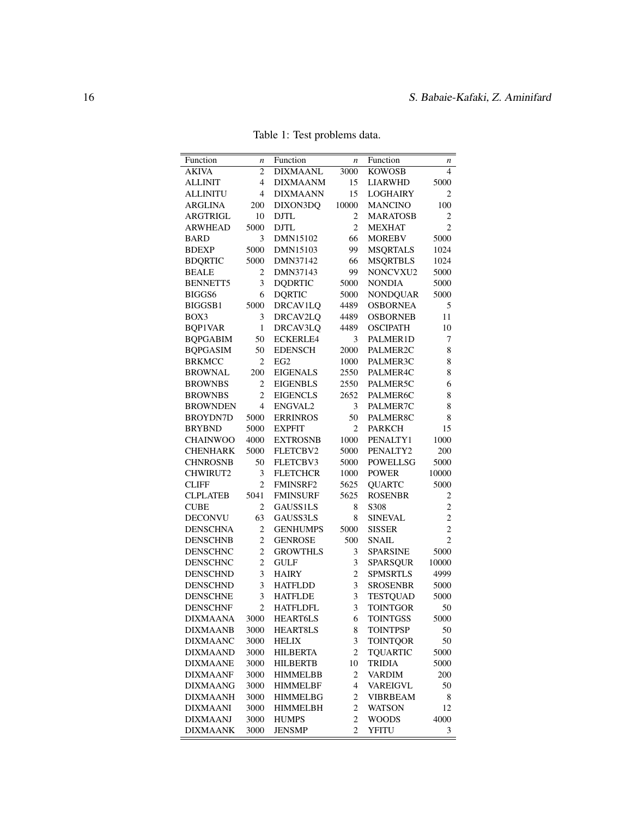<span id="page-5-0"></span>

| Function        | n                | Function        | n              | Function                           | n              |
|-----------------|------------------|-----------------|----------------|------------------------------------|----------------|
| <b>AKIVA</b>    | 2                | <b>DIXMAANL</b> | 3000           | <b>KOWOSB</b>                      | 4              |
| <b>ALLINIT</b>  | $\overline{4}$   | <b>DIXMAANM</b> | 15             | <b>LIARWHD</b>                     | 5000           |
| <b>ALLINITU</b> | $\overline{4}$   | <b>DIXMAANN</b> | 15             | <b>LOGHAIRY</b>                    | 2              |
| <b>ARGLINA</b>  | 200              | DIXON3DQ        | 10000          | <b>MANCINO</b>                     | 100            |
| <b>ARGTRIGL</b> | 10               | <b>DJTL</b>     | $\mathfrak{2}$ | <b>MARATOSB</b>                    | $\overline{2}$ |
| <b>ARWHEAD</b>  | 5000             | <b>DJTL</b>     | $\overline{c}$ | <b>MEXHAT</b>                      | $\overline{2}$ |
| <b>BARD</b>     | 3                | DMN15102        | 66             | <b>MOREBV</b>                      | 5000           |
| <b>BDEXP</b>    | 5000             | DMN15103        | 99             | <b>MSQRTALS</b>                    | 1024           |
| <b>BDQRTIC</b>  | 5000             | DMN37142        | 66             | <b>MSQRTBLS</b>                    | 1024           |
| <b>BEALE</b>    | 2                | DMN37143        | 99             | NONCVXU2                           | 5000           |
| <b>BENNETT5</b> | 3                | <b>DQDRTIC</b>  | 5000           | <b>NONDIA</b>                      | 5000           |
| BIGGS6          | 6                | <b>DQRTIC</b>   | 5000           | <b>NONDQUAR</b>                    | 5000           |
| BIGGSB1         | 5000             | <b>DRCAV1LQ</b> | 4489           | <b>OSBORNEA</b>                    | 5              |
| BOX3            | 3                | DRCAV2LQ        | 4489           | <b>OSBORNEB</b>                    | 11             |
| <b>BQP1VAR</b>  | $\mathbf{1}$     | DRCAV3LQ        | 4489           | <b>OSCIPATH</b>                    | 10             |
| <b>BQPGABIM</b> | 50               | <b>ECKERLE4</b> | 3              | PALMER1D                           | $\tau$         |
| <b>BQPGASIM</b> | 50               | <b>EDENSCH</b>  | 2000           | PALMER2C                           | 8              |
| <b>BRKMCC</b>   | 2                | EG <sub>2</sub> | 1000           | PALMER3C                           | 8              |
| <b>BROWNAL</b>  | 200              | <b>EIGENALS</b> | 2550           | PALMER4C                           | 8              |
| <b>BROWNBS</b>  | $\overline{c}$   | <b>EIGENBLS</b> | 2550           | PALMER5C                           | 6              |
| <b>BROWNBS</b>  | $\overline{c}$   | <b>EIGENCLS</b> | 2652           | PALMER6C                           | 8              |
| <b>BROWNDEN</b> | $\overline{4}$   | ENGVAL2         | 3              | PALMER7C                           | 8              |
| <b>BROYDN7D</b> | 5000             | <b>ERRINROS</b> | 50             | PALMER8C                           | 8              |
| <b>BRYBND</b>   | 5000             | <b>EXPFIT</b>   | 2              | <b>PARKCH</b>                      | 15             |
| <b>CHAINWOO</b> | 4000             | <b>EXTROSNB</b> | 1000           | PENALTY1                           | 1000           |
| <b>CHENHARK</b> | 5000             | FLETCBV2        | 5000           | PENALTY2                           | 200            |
| <b>CHNROSNB</b> | 50               | FLETCBV3        | 5000           | <b>POWELLSG</b>                    | 5000           |
| CHWIRUT2        | 3                | <b>FLETCHCR</b> | 1000           | <b>POWER</b>                       | 10000          |
| <b>CLIFF</b>    | $\overline{2}$   | <b>FMINSRF2</b> | 5625           | <b>QUARTC</b>                      | 5000           |
| <b>CLPLATEB</b> | 5041             | <b>FMINSURF</b> | 5625           | <b>ROSENBR</b>                     | $\overline{c}$ |
| <b>CUBE</b>     | 2                | GAUSS1LS        | 8              | S308                               | $\overline{c}$ |
| <b>DECONVU</b>  | 63               | GAUSS3LS        | 8              | <b>SINEVAL</b>                     | $\overline{c}$ |
| <b>DENSCHNA</b> | $\boldsymbol{2}$ | <b>GENHUMPS</b> | 5000           | <b>SISSER</b>                      | $\overline{c}$ |
| <b>DENSCHNB</b> | $\overline{2}$   | <b>GENROSE</b>  | 500            | <b>SNAIL</b>                       | $\overline{c}$ |
| <b>DENSCHNC</b> | $\overline{c}$   | <b>GROWTHLS</b> | 3              | <b>SPARSINE</b>                    | 5000           |
| <b>DENSCHNC</b> | $\overline{c}$   | <b>GULF</b>     | 3              | <b>SPARSQUR</b>                    | 10000          |
| <b>DENSCHND</b> | 3                | <b>HAIRY</b>    | $\overline{c}$ | <b>SPMSRTLS</b>                    | 4999           |
| <b>DENSCHND</b> | 3                | <b>HATFLDD</b>  | 3              | <b>SROSENBR</b>                    | 5000           |
| <b>DENSCHNE</b> | 3                | <b>HATFLDE</b>  | 3              |                                    |                |
|                 | $\overline{c}$   |                 | 3              | <b>TESTQUAD</b><br><b>TOINTGOR</b> | 5000<br>50     |
| <b>DENSCHNF</b> |                  | <b>HATFLDFL</b> |                |                                    |                |
| <b>DIXMAANA</b> | 3000             | <b>HEART6LS</b> | 6              | <b>TOINTGSS</b>                    | 5000           |
| <b>DIXMAANB</b> | 3000             | <b>HEART8LS</b> | 8              | <b>TOINTPSP</b>                    | 50             |
| <b>DIXMAANC</b> | 3000             | <b>HELIX</b>    | 3              | <b>TOINTQOR</b>                    | 50             |
| <b>DIXMAAND</b> | 3000             | <b>HILBERTA</b> | 2              | <b>TQUARTIC</b>                    | 5000           |
| <b>DIXMAANE</b> | 3000             | <b>HILBERTB</b> | 10             | <b>TRIDIA</b>                      | 5000           |
| <b>DIXMAANF</b> | 3000             | <b>HIMMELBB</b> | 2              | <b>VARDIM</b>                      | 200            |
| <b>DIXMAANG</b> | 3000             | <b>HIMMELBF</b> | 4              | <b>VAREIGVL</b>                    | 50             |
| <b>DIXMAANH</b> | 3000             | <b>HIMMELBG</b> | 2              | <b>VIBRBEAM</b>                    | 8              |
| <b>DIXMAANI</b> | 3000             | <b>HIMMELBH</b> | 2              | <b>WATSON</b>                      | 12             |
| <b>DIXMAANJ</b> | 3000             | <b>HUMPS</b>    | 2              | <b>WOODS</b>                       | 4000           |
| <b>DIXMAANK</b> | 3000             | <b>JENSMP</b>   | 2              | <b>YFITU</b>                       | 3              |

Table 1: Test problems data.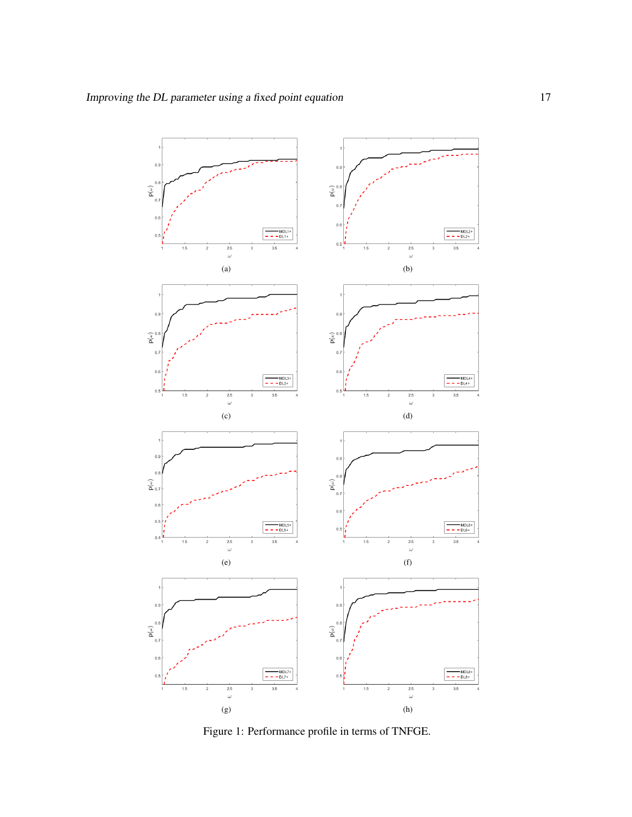<span id="page-6-0"></span>

Figure 1: Performance profile in terms of TNFGE.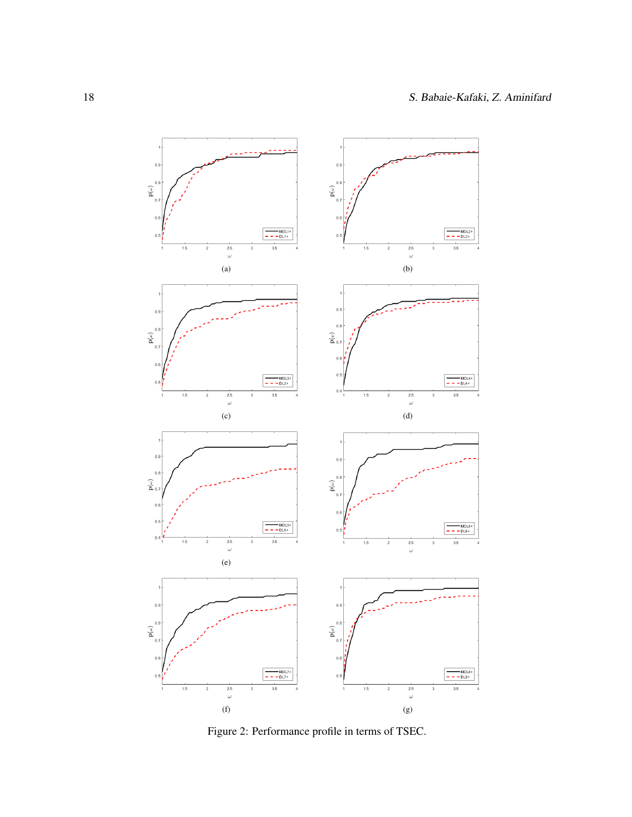<span id="page-7-0"></span>

Figure 2: Performance profile in terms of TSEC.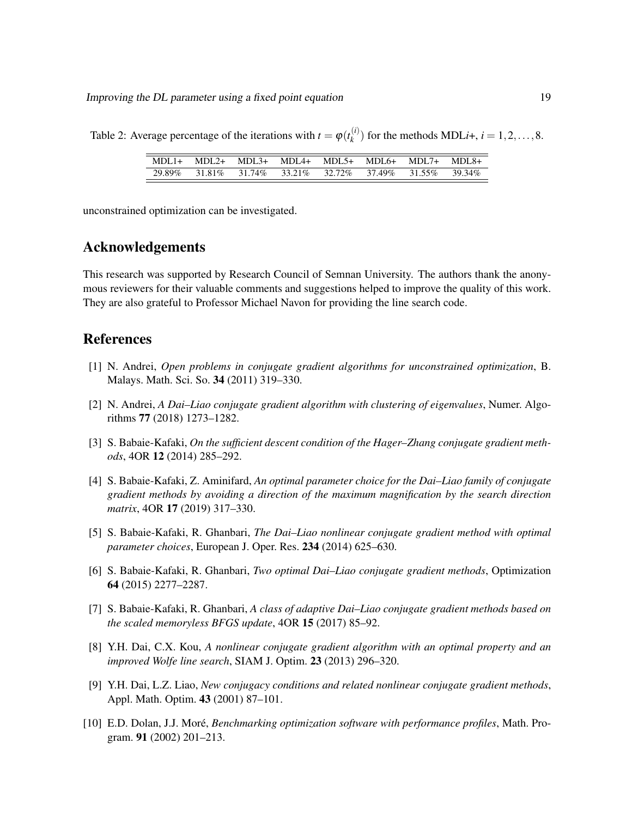Improving the DL parameter using a fixed point equation 19

<span id="page-8-10"></span>Table 2: Average percentage of the iterations with  $t = \varphi(t_k^{(i)})$  $f_k^{(i)}$  for the methods MDL*i*+, *i* = 1, 2, ..., 8.

| $MDL1+ MDL2+ MDL3+ MDL4+ MDL5+ MDL6+ MDL7+ MDL8+$       |  |  |  |
|---------------------------------------------------------|--|--|--|
| 29.89% 31.81% 31.74% 33.21% 32.72% 37.49% 31.55% 39.34% |  |  |  |

unconstrained optimization can be investigated.

### Acknowledgements

This research was supported by Research Council of Semnan University. The authors thank the anonymous reviewers for their valuable comments and suggestions helped to improve the quality of this work. They are also grateful to Professor Michael Navon for providing the line search code.

# References

- <span id="page-8-1"></span>[1] N. Andrei, *Open problems in conjugate gradient algorithms for unconstrained optimization*, B. Malays. Math. Sci. So. 34 (2011) 319–330.
- <span id="page-8-4"></span>[2] N. Andrei, *A Dai–Liao conjugate gradient algorithm with clustering of eigenvalues*, Numer. Algorithms 77 (2018) 1273–1282.
- <span id="page-8-7"></span>[3] S. Babaie-Kafaki, *On the sufficient descent condition of the Hager–Zhang conjugate gradient methods*, 4OR 12 (2014) 285–292.
- <span id="page-8-8"></span>[4] S. Babaie-Kafaki, Z. Aminifard, *An optimal parameter choice for the Dai–Liao family of conjugate gradient methods by avoiding a direction of the maximum magnification by the search direction matrix*, 4OR 17 (2019) 317–330.
- <span id="page-8-3"></span>[5] S. Babaie-Kafaki, R. Ghanbari, *The Dai–Liao nonlinear conjugate gradient method with optimal parameter choices*, European J. Oper. Res. 234 (2014) 625–630.
- <span id="page-8-6"></span>[6] S. Babaie-Kafaki, R. Ghanbari, *Two optimal Dai–Liao conjugate gradient methods*, Optimization 64 (2015) 2277–2287.
- <span id="page-8-5"></span>[7] S. Babaie-Kafaki, R. Ghanbari, *A class of adaptive Dai–Liao conjugate gradient methods based on the scaled memoryless BFGS update*, 4OR 15 (2017) 85–92.
- <span id="page-8-2"></span>[8] Y.H. Dai, C.X. Kou, *A nonlinear conjugate gradient algorithm with an optimal property and an improved Wolfe line search*, SIAM J. Optim. 23 (2013) 296–320.
- <span id="page-8-0"></span>[9] Y.H. Dai, L.Z. Liao, *New conjugacy conditions and related nonlinear conjugate gradient methods*, Appl. Math. Optim. 43 (2001) 87–101.
- <span id="page-8-9"></span>[10] E.D. Dolan, J.J. More,´ *Benchmarking optimization software with performance profiles*, Math. Program. 91 (2002) 201–213.